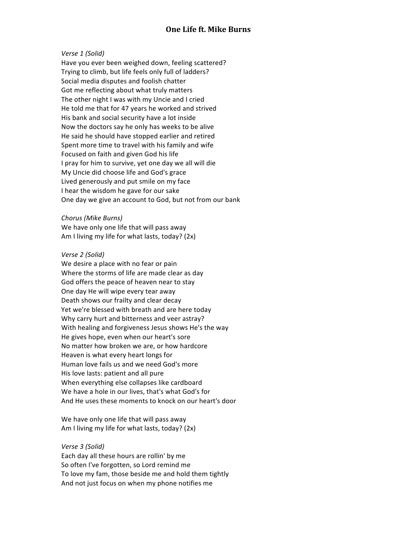## *Verse 1 (Solid)*

Have you ever been weighed down, feeling scattered? Trying to climb, but life feels only full of ladders? Social media disputes and foolish chatter Got me reflecting about what truly matters The other night I was with my Uncie and I cried He told me that for 47 years he worked and strived His bank and social security have a lot inside Now the doctors say he only has weeks to be alive He said he should have stopped earlier and retired Spent more time to travel with his family and wife Focused on faith and given God his life I pray for him to survive, yet one day we all will die My Uncie did choose life and God's grace Lived generously and put smile on my face I hear the wisdom he gave for our sake One day we give an account to God, but not from our bank

### *Chorus (Mike Burns)*

We have only one life that will pass away Am I living my life for what lasts, today?  $(2x)$ 

### *Verse 2 (Solid)*

We desire a place with no fear or pain Where the storms of life are made clear as day God offers the peace of heaven near to stay One day He will wipe every tear away Death shows our frailty and clear decay Yet we're blessed with breath and are here today Why carry hurt and bitterness and veer astray? With healing and forgiveness Jesus shows He's the way He gives hope, even when our heart's sore No matter how broken we are, or how hardcore Heaven is what every heart longs for Human love fails us and we need God's more His love lasts: patient and all pure When everything else collapses like cardboard We have a hole in our lives, that's what God's for And He uses these moments to knock on our heart's door

We have only one life that will pass away Am I living my life for what lasts, today?  $(2x)$ 

### *Verse 3 (Solid)*

Each day all these hours are rollin' by me So often I've forgotten, so Lord remind me To love my fam, those beside me and hold them tightly And not just focus on when my phone notifies me